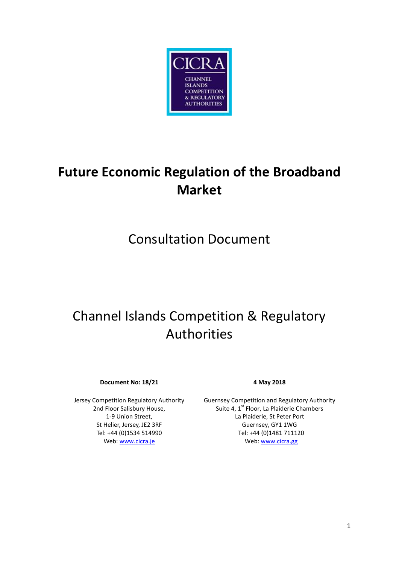

# **Future Economic Regulation of the Broadband Market**

# Consultation Document

# Channel Islands Competition & Regulatory Authorities

**Document No: 18/21 4 May 2018**

Jersey Competition Regulatory Authority 2nd Floor Salisbury House, 1-9 Union Street, St Helier, Jersey, JE2 3RF Tel: +44 (0)1534 514990 Web: [www.cicra.je](http://www.cicra.je/)

Guernsey Competition and Regulatory Authority Suite 4, 1<sup>st</sup> Floor, La Plaiderie Chambers La Plaiderie, St Peter Port Guernsey, GY1 1WG Tel: +44 (0)1481 711120 Web[: www.cicra.gg](http://www.cicra.gg/)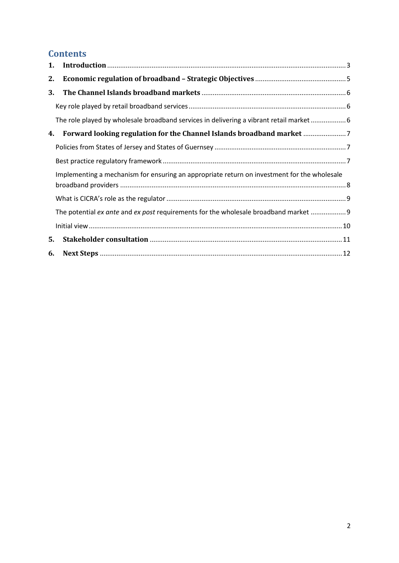# **Contents**

| 1. |                                                                                             |  |
|----|---------------------------------------------------------------------------------------------|--|
| 2. |                                                                                             |  |
| 3. |                                                                                             |  |
|    |                                                                                             |  |
|    | The role played by wholesale broadband services in delivering a vibrant retail market 6     |  |
| 4. | Forward looking regulation for the Channel Islands broadband market                         |  |
|    |                                                                                             |  |
|    |                                                                                             |  |
|    | Implementing a mechanism for ensuring an appropriate return on investment for the wholesale |  |
|    |                                                                                             |  |
|    | The potential ex ante and ex post requirements for the wholesale broadband market  9        |  |
|    |                                                                                             |  |
| 5. |                                                                                             |  |
| 6. |                                                                                             |  |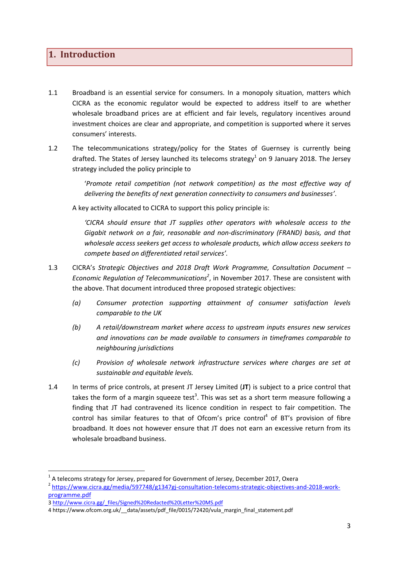## <span id="page-2-0"></span>**1. Introduction**

- 1.1 Broadband is an essential service for consumers. In a monopoly situation, matters which CICRA as the economic regulator would be expected to address itself to are whether wholesale broadband prices are at efficient and fair levels, regulatory incentives around investment choices are clear and appropriate, and competition is supported where it serves consumers' interests.
- 1.2 The telecommunications strategy/policy for the States of Guernsey is currently being drafted. The States of Jersey launched its telecoms strategy<sup>1</sup> on 9 January 2018. The Jersey strategy included the policy principle to

'*Promote retail competition (not network competition) as the most effective way of delivering the benefits of next generation connectivity to consumers and businesses'*.

A key activity allocated to CICRA to support this policy principle is:

*'CICRA should ensure that JT supplies other operators with wholesale access to the Gigabit network on a fair, reasonable and non-discriminatory (FRAND) basis, and that wholesale access seekers get access to wholesale products, which allow access seekers to compete based on differentiated retail services'.*

- 1.3 CICRA's *Strategic Objectives and 2018 Draft Work Programme, Consultation Document – Economic Regulation of Telecommunications<sup>2</sup>* , in November 2017. These are consistent with the above. That document introduced three proposed strategic objectives:
	- *(a) Consumer protection supporting attainment of consumer satisfaction levels comparable to the UK*
	- *(b) A retail/downstream market where access to upstream inputs ensures new services and innovations can be made available to consumers in timeframes comparable to neighbouring jurisdictions*
	- *(c) Provision of wholesale network infrastructure services where charges are set at sustainable and equitable levels.*
- 1.4 In terms of price controls, at present JT Jersey Limited (**JT**) is subject to a price control that takes the form of a margin squeeze test<sup>3</sup>. This was set as a short term measure following a finding that JT had contravened its licence condition in respect to fair competition. The control has similar features to that of Ofcom's price control<sup>4</sup> of BT's provision of fibre broadband. It does not however ensure that JT does not earn an excessive return from its wholesale broadband business.

 $^{1}$  A telecoms strategy for Jersey, prepared for Government of Jersey, December 2017, Oxera

<sup>&</sup>lt;sup>2</sup> [https://www.cicra.gg/media/597748/g1347gj-consultation-telecoms-strategic-objectives-and-2018-work](https://www.cicra.gg/media/597748/g1347gj-consultation-telecoms-strategic-objectives-and-2018-work-programme.pdf)[programme.pdf](https://www.cicra.gg/media/597748/g1347gj-consultation-telecoms-strategic-objectives-and-2018-work-programme.pdf)

<sup>3</sup> [http://www.cicra.gg/\\_files/Signed%20Redacted%20Letter%20MS.pdf](http://www.cicra.gg/_files/Signed%20Redacted%20Letter%20MS.pdf) 

<sup>4</sup> [https://www.ofcom.org.uk/\\_\\_data/assets/pdf\\_file/0015/72420/vula\\_margin\\_final\\_statement.pdf](https://www.ofcom.org.uk/__data/assets/pdf_file/0015/72420/vula_margin_final_statement.pdf)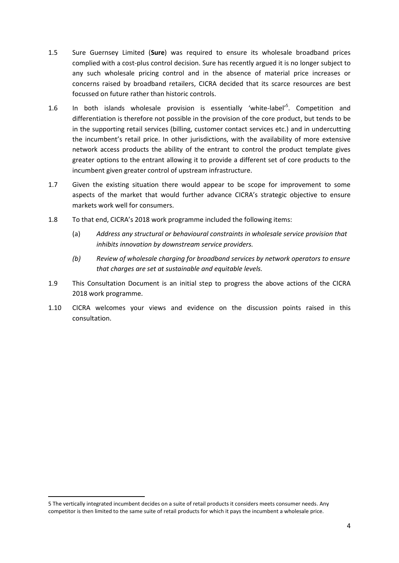- 1.5 Sure Guernsey Limited (**Sure**) was required to ensure its wholesale broadband prices complied with a cost-plus control decision. Sure has recently argued it is no longer subject to any such wholesale pricing control and in the absence of material price increases or concerns raised by broadband retailers, CICRA decided that its scarce resources are best focussed on future rather than historic controls.
- 1.6 In both islands wholesale provision is essentially 'white-label'<sup>5</sup>. Competition and differentiation is therefore not possible in the provision of the core product, but tends to be in the supporting retail services (billing, customer contact services etc.) and in undercutting the incumbent's retail price. In other jurisdictions, with the availability of more extensive network access products the ability of the entrant to control the product template gives greater options to the entrant allowing it to provide a different set of core products to the incumbent given greater control of upstream infrastructure.
- 1.7 Given the existing situation there would appear to be scope for improvement to some aspects of the market that would further advance CICRA's strategic objective to ensure markets work well for consumers.
- 1.8 To that end, CICRA's 2018 work programme included the following items:
	- (a) *Address any structural or behavioural constraints in wholesale service provision that inhibits innovation by downstream service providers.*
	- *(b) Review of wholesale charging for broadband services by network operators to ensure that charges are set at sustainable and equitable levels.*
- 1.9 This Consultation Document is an initial step to progress the above actions of the CICRA 2018 work programme.
- 1.10 CICRA welcomes your views and evidence on the discussion points raised in this consultation.

<sup>5</sup> The vertically integrated incumbent decides on a suite of retail products it considers meets consumer needs. Any competitor is then limited to the same suite of retail products for which it pays the incumbent a wholesale price.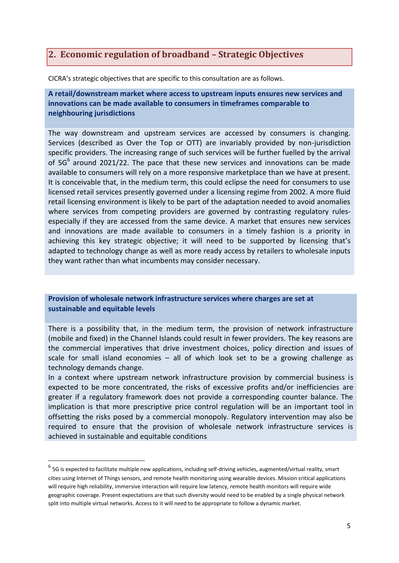# <span id="page-4-0"></span>**2. Economic regulation of broadband – Strategic Objectives**

CICRA's strategic objectives that are specific to this consultation are as follows.

**A retail/downstream market where access to upstream inputs ensures new services and innovations can be made available to consumers in timeframes comparable to neighbouring jurisdictions**

The way downstream and upstream services are accessed by consumers is changing. Services (described as Over the Top or OTT) are invariably provided by non-jurisdiction specific providers. The increasing range of such services will be further fuelled by the arrival of  $5G^6$  around 2021/22. The pace that these new services and innovations can be made available to consumers will rely on a more responsive marketplace than we have at present. It is conceivable that, in the medium term, this could eclipse the need for consumers to use licensed retail services presently governed under a licensing regime from 2002. A more fluid retail licensing environment is likely to be part of the adaptation needed to avoid anomalies where services from competing providers are governed by contrasting regulatory rulesespecially if they are accessed from the same device. A market that ensures new services and innovations are made available to consumers in a timely fashion is a priority in achieving this key strategic objective; it will need to be supported by licensing that's adapted to technology change as well as more ready access by retailers to wholesale inputs they want rather than what incumbents may consider necessary.

#### **Provision of wholesale network infrastructure services where charges are set at sustainable and equitable levels**

There is a possibility that, in the medium term, the provision of network infrastructure (mobile and fixed) in the Channel Islands could result in fewer providers. The key reasons are the commercial imperatives that drive investment choices, policy direction and issues of scale for small island economies – all of which look set to be a growing challenge as technology demands change.

In a context where upstream network infrastructure provision by commercial business is expected to be more concentrated, the risks of excessive profits and/or inefficiencies are greater if a regulatory framework does not provide a corresponding counter balance. The implication is that more prescriptive price control regulation will be an important tool in offsetting the risks posed by a commercial monopoly. Regulatory intervention may also be required to ensure that the provision of wholesale network infrastructure services is achieved in sustainable and equitable conditions

 $^6$  5G is expected to facilitate multiple new applications, including self-driving vehicles, augmented/virtual reality, smart cities using Internet of Things sensors, and remote health monitoring using wearable devices. Mission critical applications will require high reliability, immersive interaction will require low latency, remote health monitors will require wide geographic coverage. Present expectations are that such diversity would need to be enabled by a single physical network split into multiple virtual networks. Access to it will need to be appropriate to follow a dynamic market.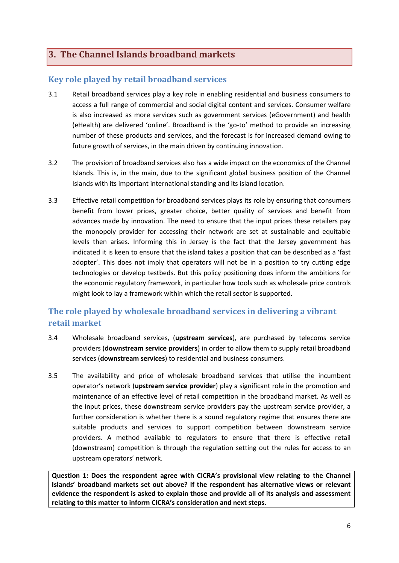# <span id="page-5-0"></span>**3. The Channel Islands broadband markets**

#### <span id="page-5-1"></span>**Key role played by retail broadband services**

- 3.1 Retail broadband services play a key role in enabling residential and business consumers to access a full range of commercial and social digital content and services. Consumer welfare is also increased as more services such as government services (eGovernment) and health (eHealth) are delivered 'online'. Broadband is the 'go-to' method to provide an increasing number of these products and services, and the forecast is for increased demand owing to future growth of services, in the main driven by continuing innovation.
- 3.2 The provision of broadband services also has a wide impact on the economics of the Channel Islands. This is, in the main, due to the significant global business position of the Channel Islands with its important international standing and its island location.
- 3.3 Effective retail competition for broadband services plays its role by ensuring that consumers benefit from lower prices, greater choice, better quality of services and benefit from advances made by innovation. The need to ensure that the input prices these retailers pay the monopoly provider for accessing their network are set at sustainable and equitable levels then arises. Informing this in Jersey is the fact that the Jersey government has indicated it is keen to ensure that the island takes a position that can be described as a 'fast adopter'. This does not imply that operators will not be in a position to try cutting edge technologies or develop testbeds. But this policy positioning does inform the ambitions for the economic regulatory framework, in particular how tools such as wholesale price controls might look to lay a framework within which the retail sector is supported.

# <span id="page-5-2"></span>**The role played by wholesale broadband services in delivering a vibrant retail market**

- 3.4 Wholesale broadband services, (**upstream services**), are purchased by telecoms service providers (**downstream service providers**) in order to allow them to supply retail broadband services (**downstream services**) to residential and business consumers.
- 3.5 The availability and price of wholesale broadband services that utilise the incumbent operator's network (**upstream service provider**) play a significant role in the promotion and maintenance of an effective level of retail competition in the broadband market. As well as the input prices, these downstream service providers pay the upstream service provider, a further consideration is whether there is a sound regulatory regime that ensures there are suitable products and services to support competition between downstream service providers. A method available to regulators to ensure that there is effective retail (downstream) competition is through the regulation setting out the rules for access to an upstream operators' network.

**Question 1: Does the respondent agree with CICRA's provisional view relating to the Channel Islands' broadband markets set out above? If the respondent has alternative views or relevant evidence the respondent is asked to explain those and provide all of its analysis and assessment relating to this matter to inform CICRA's consideration and next steps.**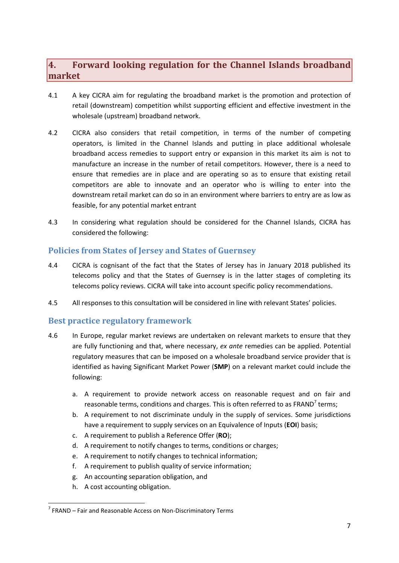# <span id="page-6-0"></span>**4. Forward looking regulation for the Channel Islands broadband market**

- 4.1 A key CICRA aim for regulating the broadband market is the promotion and protection of retail (downstream) competition whilst supporting efficient and effective investment in the wholesale (upstream) broadband network.
- 4.2 CICRA also considers that retail competition, in terms of the number of competing operators, is limited in the Channel Islands and putting in place additional wholesale broadband access remedies to support entry or expansion in this market its aim is not to manufacture an increase in the number of retail competitors. However, there is a need to ensure that remedies are in place and are operating so as to ensure that existing retail competitors are able to innovate and an operator who is willing to enter into the downstream retail market can do so in an environment where barriers to entry are as low as feasible, for any potential market entrant
- 4.3 In considering what regulation should be considered for the Channel Islands, CICRA has considered the following:

#### <span id="page-6-1"></span>**Policies from States of Jersey and States of Guernsey**

- 4.4 CICRA is cognisant of the fact that the States of Jersey has in January 2018 published its telecoms policy and that the States of Guernsey is in the latter stages of completing its telecoms policy reviews. CICRA will take into account specific policy recommendations.
- 4.5 All responses to this consultation will be considered in line with relevant States' policies.

#### <span id="page-6-2"></span>**Best practice regulatory framework**

- 4.6 In Europe, regular market reviews are undertaken on relevant markets to ensure that they are fully functioning and that, where necessary, *ex ante* remedies can be applied. Potential regulatory measures that can be imposed on a wholesale broadband service provider that is identified as having Significant Market Power (**SMP**) on a relevant market could include the following:
	- a. A requirement to provide network access on reasonable request and on fair and reasonable terms, conditions and charges. This is often referred to as FRAND<sup>7</sup> terms;
	- b. A requirement to not discriminate unduly in the supply of services. Some jurisdictions have a requirement to supply services on an Equivalence of Inputs (**EOI**) basis;
	- c. A requirement to publish a Reference Offer (**RO**);
	- d. A requirement to notify changes to terms, conditions or charges;
	- e. A requirement to notify changes to technical information;
	- f. A requirement to publish quality of service information;
	- g. An accounting separation obligation, and
	- h. A cost accounting obligation.

<sup>&</sup>lt;sup>7</sup> FRAND – Fair and Reasonable Access on Non-Discriminatory Terms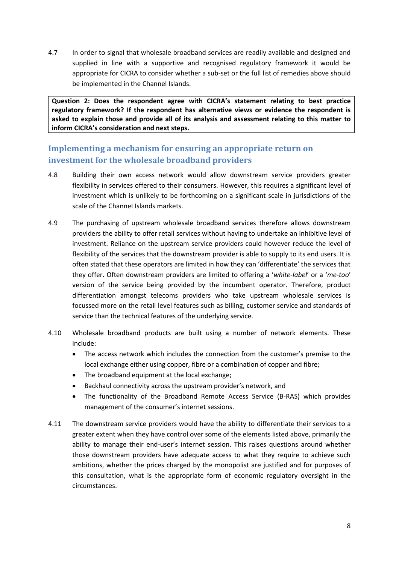4.7 In order to signal that wholesale broadband services are readily available and designed and supplied in line with a supportive and recognised regulatory framework it would be appropriate for CICRA to consider whether a sub-set or the full list of remedies above should be implemented in the Channel Islands.

**Question 2: Does the respondent agree with CICRA's statement relating to best practice regulatory framework? If the respondent has alternative views or evidence the respondent is asked to explain those and provide all of its analysis and assessment relating to this matter to inform CICRA's consideration and next steps.**

## <span id="page-7-0"></span>**Implementing a mechanism for ensuring an appropriate return on investment for the wholesale broadband providers**

- 4.8 Building their own access network would allow downstream service providers greater flexibility in services offered to their consumers. However, this requires a significant level of investment which is unlikely to be forthcoming on a significant scale in jurisdictions of the scale of the Channel Islands markets.
- 4.9 The purchasing of upstream wholesale broadband services therefore allows downstream providers the ability to offer retail services without having to undertake an inhibitive level of investment. Reliance on the upstream service providers could however reduce the level of flexibility of the services that the downstream provider is able to supply to its end users. It is often stated that these operators are limited in how they can 'differentiate' the services that they offer. Often downstream providers are limited to offering a '*white-label*' or a '*me-too*' version of the service being provided by the incumbent operator. Therefore, product differentiation amongst telecoms providers who take upstream wholesale services is focussed more on the retail level features such as billing, customer service and standards of service than the technical features of the underlying service.
- 4.10 Wholesale broadband products are built using a number of network elements. These include:
	- The access network which includes the connection from the customer's premise to the local exchange either using copper, fibre or a combination of copper and fibre;
	- The broadband equipment at the local exchange;
	- Backhaul connectivity across the upstream provider's network, and
	- The functionality of the Broadband Remote Access Service (B-RAS) which provides management of the consumer's internet sessions.
- 4.11 The downstream service providers would have the ability to differentiate their services to a greater extent when they have control over some of the elements listed above, primarily the ability to manage their end-user's internet session. This raises questions around whether those downstream providers have adequate access to what they require to achieve such ambitions, whether the prices charged by the monopolist are justified and for purposes of this consultation, what is the appropriate form of economic regulatory oversight in the circumstances.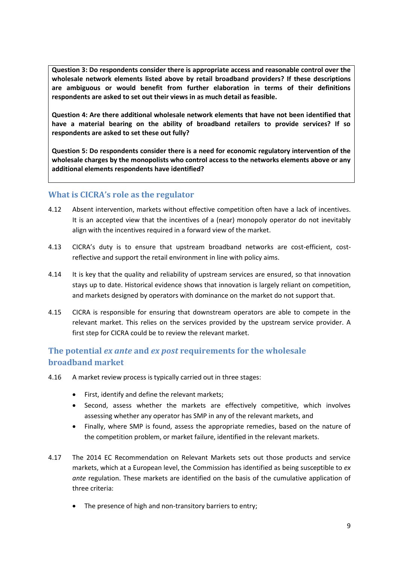**Question 3: Do respondents consider there is appropriate access and reasonable control over the wholesale network elements listed above by retail broadband providers? If these descriptions are ambiguous or would benefit from further elaboration in terms of their definitions respondents are asked to set out their views in as much detail as feasible.**

**Question 4: Are there additional wholesale network elements that have not been identified that have a material bearing on the ability of broadband retailers to provide services? If so respondents are asked to set these out fully?**

**Question 5: Do respondents consider there is a need for economic regulatory intervention of the wholesale charges by the monopolists who control access to the networks elements above or any additional elements respondents have identified?**

#### <span id="page-8-0"></span>**What is CICRA's role as the regulator**

- 4.12 Absent intervention, markets without effective competition often have a lack of incentives. It is an accepted view that the incentives of a (near) monopoly operator do not inevitably align with the incentives required in a forward view of the market.
- 4.13 CICRA's duty is to ensure that upstream broadband networks are cost-efficient, costreflective and support the retail environment in line with policy aims.
- 4.14 It is key that the quality and reliability of upstream services are ensured, so that innovation stays up to date. Historical evidence shows that innovation is largely reliant on competition, and markets designed by operators with dominance on the market do not support that.
- 4.15 CICRA is responsible for ensuring that downstream operators are able to compete in the relevant market. This relies on the services provided by the upstream service provider. A first step for CICRA could be to review the relevant market.

## <span id="page-8-1"></span>**The potential** *ex ante* **and** *ex post* **requirements for the wholesale broadband market**

- 4.16 A market review process is typically carried out in three stages:
	- First, identify and define the relevant markets;
	- Second, assess whether the markets are effectively competitive, which involves assessing whether any operator has SMP in any of the relevant markets, and
	- Finally, where SMP is found, assess the appropriate remedies, based on the nature of the competition problem, or market failure, identified in the relevant markets.
- 4.17 The 2014 EC Recommendation on Relevant Markets sets out those products and service markets, which at a European level, the Commission has identified as being susceptible to *ex ante* regulation. These markets are identified on the basis of the cumulative application of three criteria:
	- The presence of high and non-transitory barriers to entry;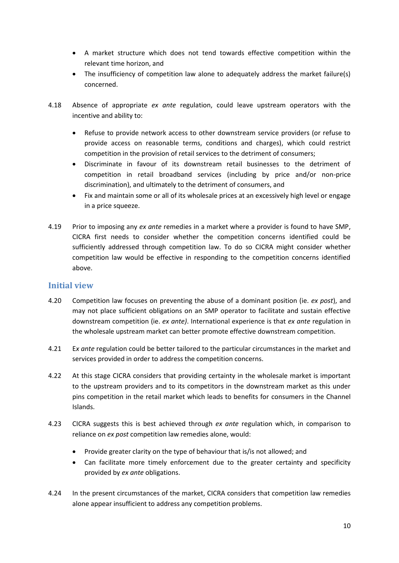- A market structure which does not tend towards effective competition within the relevant time horizon, and
- The insufficiency of competition law alone to adequately address the market failure(s) concerned.
- 4.18 Absence of appropriate *ex ante* regulation, could leave upstream operators with the incentive and ability to:
	- Refuse to provide network access to other downstream service providers (or refuse to provide access on reasonable terms, conditions and charges), which could restrict competition in the provision of retail services to the detriment of consumers;
	- Discriminate in favour of its downstream retail businesses to the detriment of competition in retail broadband services (including by price and/or non-price discrimination), and ultimately to the detriment of consumers, and
	- Fix and maintain some or all of its wholesale prices at an excessively high level or engage in a price squeeze.
- 4.19 Prior to imposing any *ex ante* remedies in a market where a provider is found to have SMP, CICRA first needs to consider whether the competition concerns identified could be sufficiently addressed through competition law. To do so CICRA might consider whether competition law would be effective in responding to the competition concerns identified above.

#### <span id="page-9-0"></span>**Initial view**

- 4.20 Competition law focuses on preventing the abuse of a dominant position (ie. *ex post*), and may not place sufficient obligations on an SMP operator to facilitate and sustain effective downstream competition (ie. *ex ante)*. International experience is that *ex ante* regulation in the wholesale upstream market can better promote effective downstream competition.
- 4.21 E*x ante* regulation could be better tailored to the particular circumstances in the market and services provided in order to address the competition concerns.
- 4.22 At this stage CICRA considers that providing certainty in the wholesale market is important to the upstream providers and to its competitors in the downstream market as this under pins competition in the retail market which leads to benefits for consumers in the Channel Islands.
- 4.23 CICRA suggests this is best achieved through *ex ante* regulation which, in comparison to reliance on *ex post* competition law remedies alone, would:
	- Provide greater clarity on the type of behaviour that is/is not allowed; and
	- Can facilitate more timely enforcement due to the greater certainty and specificity provided by *ex ante* obligations.
- 4.24 In the present circumstances of the market, CICRA considers that competition law remedies alone appear insufficient to address any competition problems.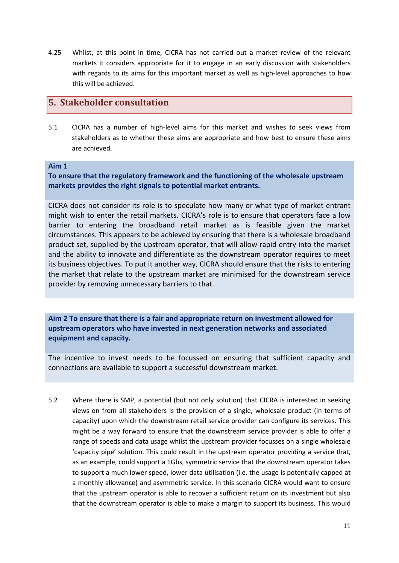4.25 Whilst, at this point in time, CICRA has not carried out a market review of the relevant markets it considers appropriate for it to engage in an early discussion with stakeholders with regards to its aims for this important market as well as high-level approaches to how this will be achieved.

#### <span id="page-10-0"></span>**5. Stakeholder consultation**

5.1 CICRA has a number of high-level aims for this market and wishes to seek views from stakeholders as to whether these aims are appropriate and how best to ensure these aims are achieved.

#### **Aim 1**

**To ensure that the regulatory framework and the functioning of the wholesale upstream markets provides the right signals to potential market entrants.**

CICRA does not consider its role is to speculate how many or what type of market entrant might wish to enter the retail markets. CICRA's role is to ensure that operators face a low barrier to entering the broadband retail market as is feasible given the market circumstances. This appears to be achieved by ensuring that there is a wholesale broadband product set, supplied by the upstream operator, that will allow rapid entry into the market and the ability to innovate and differentiate as the downstream operator requires to meet its business objectives. To put it another way, CICRA should ensure that the risks to entering the market that relate to the upstream market are minimised for the downstream service provider by removing unnecessary barriers to that.

**Aim 2 To ensure that there is a fair and appropriate return on investment allowed for upstream operators who have invested in next generation networks and associated equipment and capacity.**

The incentive to invest needs to be focussed on ensuring that sufficient capacity and connections are available to support a successful downstream market.

5.2 Where there is SMP, a potential (but not only solution) that CICRA is interested in seeking views on from all stakeholders is the provision of a single, wholesale product (in terms of capacity) upon which the downstream retail service provider can configure its services. This might be a way forward to ensure that the downstream service provider is able to offer a range of speeds and data usage whilst the upstream provider focusses on a single wholesale 'capacity pipe' solution. This could result in the upstream operator providing a service that, as an example, could support a 1Gbs, symmetric service that the downstream operator takes to support a much lower speed, lower data utilisation (i.e. the usage is potentially capped at a monthly allowance) and asymmetric service. In this scenario CICRA would want to ensure that the upstream operator is able to recover a sufficient return on its investment but also that the downstream operator is able to make a margin to support its business. This would